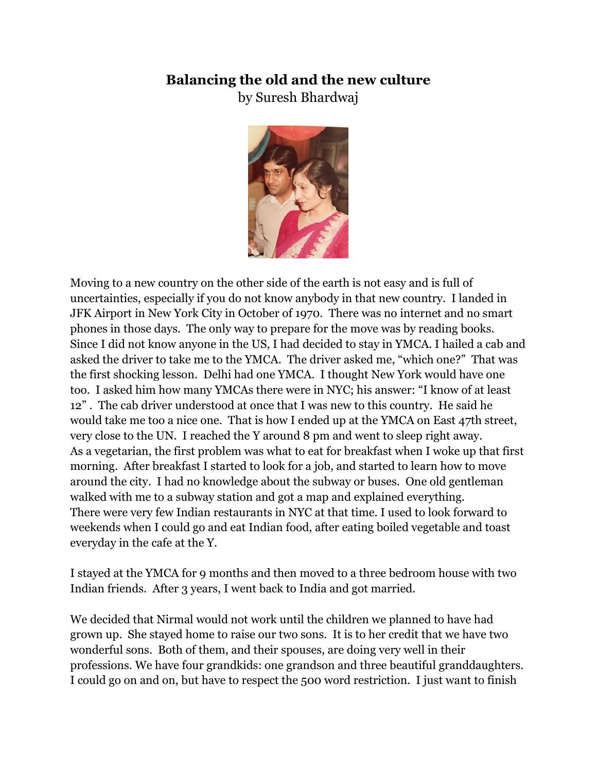## **Balancing the old and the new culture**

by Suresh Bhardwaj



Moving to a new country on the other side of the earth is not easy and is full of uncertainties, especially if you do not know anybody in that new country. I landed in JFK Airport in New York City in October of 1970. There was no internet and no smart phones in those days. The only way to prepare for the move was by reading books. Since I did not know anyone in the US, I had decided to stay in YMCA. I hailed a cab and asked the driver to take me to the YMCA. The driver asked me, "which one?" That was the first shocking lesson. Delhi had one YMCA. I thought New York would have one too. I asked him how many YMCAs there were in NYC; his answer: "I know of at least 12" . The cab driver understood at once that I was new to this country. He said he would take me too a nice one. That is how I ended up at the YMCA on East 47th street, very close to the UN. I reached the Y around 8 pm and went to sleep right away. As a vegetarian, the first problem was what to eat for breakfast when I woke up that first morning. After breakfast I started to look for a job, and started to learn how to move around the city. I had no knowledge about the subway or buses. One old gentleman walked with me to a subway station and got a map and explained everything. There were very few Indian restaurants in NYC at that time. I used to look forward to weekends when I could go and eat Indian food, after eating boiled vegetable and toast everyday in the cafe at the Y.

I stayed at the YMCA for 9 months and then moved to a three bedroom house with two Indian friends. After 3 years, I went back to India and got married.

We decided that Nirmal would not work until the children we planned to have had grown up. She stayed home to raise our two sons. It is to her credit that we have two wonderful sons. Both of them, and their spouses, are doing very well in their professions. We have four grandkids: one grandson and three beautiful granddaughters. I could go on and on, but have to respect the 500 word restriction. I just want to finish